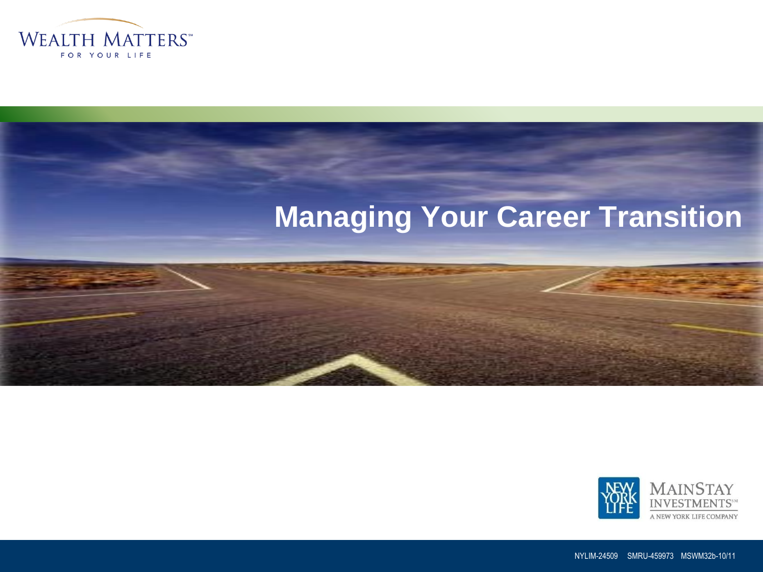

# **Managing Your Career Transition**





NYLIM-24509 SMRU-459973 MSWM32b-10/11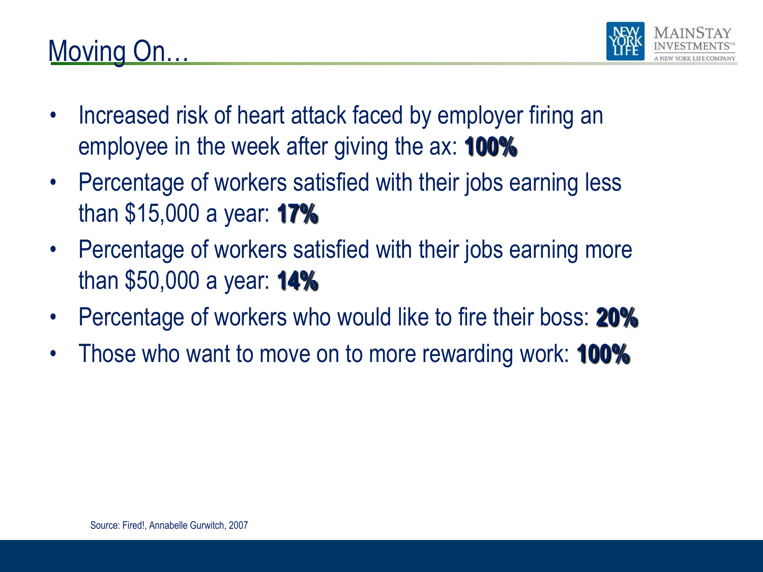



- Increased risk of heart attack faced by employer firing an employee in the week after giving the ax: **100%**
- Percentage of workers satisfied with their jobs earning less than \$15,000 a year: **17%**
- Percentage of workers satisfied with their jobs earning more than \$50,000 a year: **14%**
- Percentage of workers who would like to fire their boss: **20%**
- Those who want to move on to more rewarding work: **100%**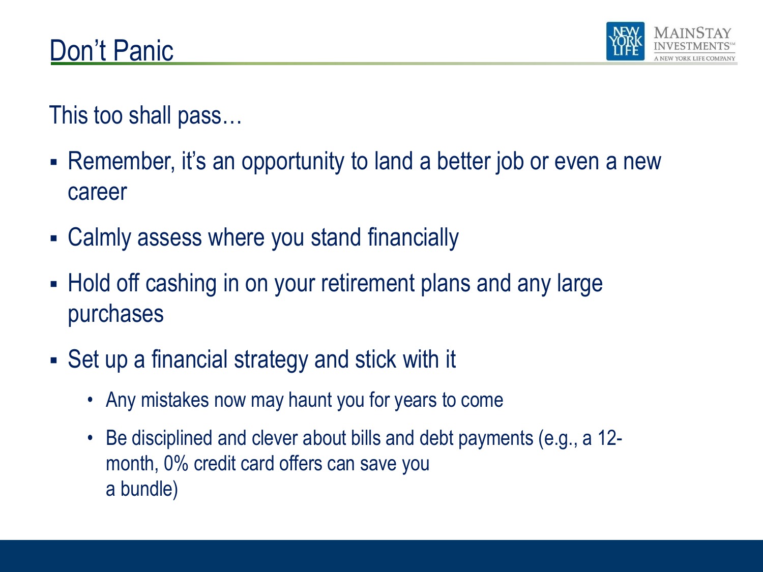

This too shall pass…

- Remember, it's an opportunity to land a better job or even a new career
- Calmly assess where you stand financially
- Hold off cashing in on your retirement plans and any large purchases
- Set up a financial strategy and stick with it
	- Any mistakes now may haunt you for years to come
	- Be disciplined and clever about bills and debt payments (e.g., a 12 month, 0% credit card offers can save you a bundle)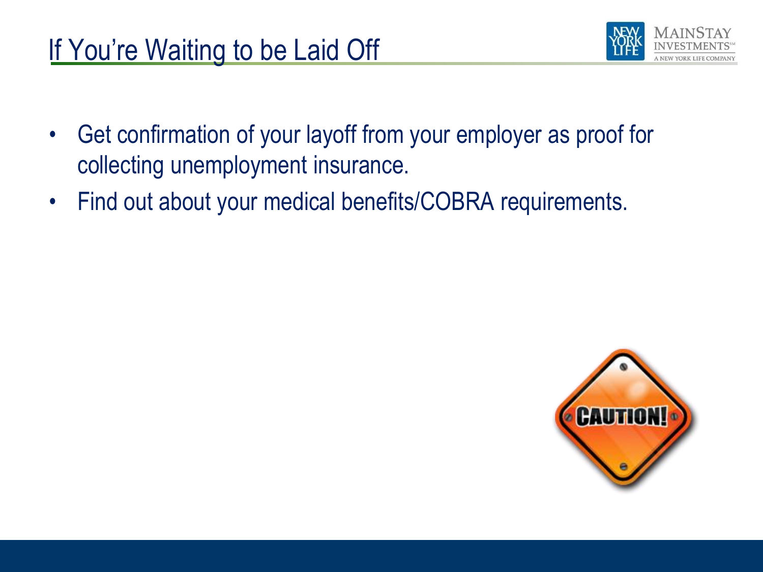

- Get confirmation of your layoff from your employer as proof for collecting unemployment insurance.
- Find out about your medical benefits/COBRA requirements.

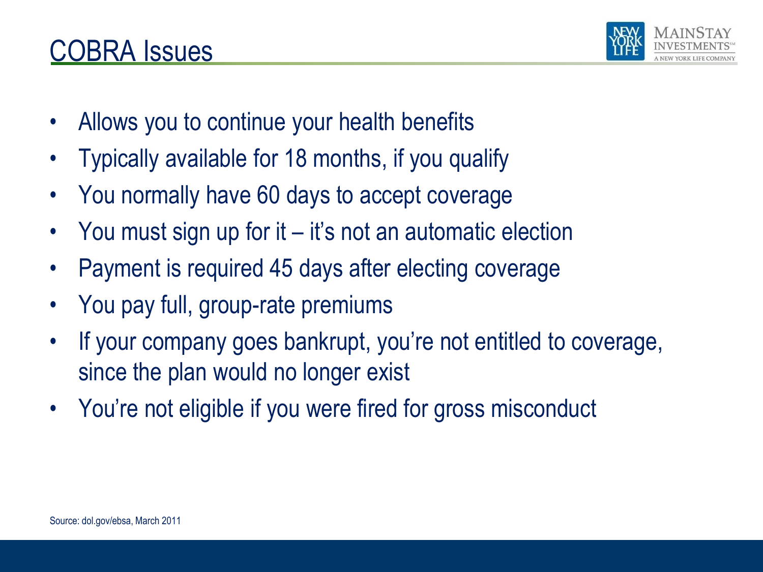#### COBRA Issues

- Allows you to continue your health benefits
- Typically available for 18 months, if you qualify
- You normally have 60 days to accept coverage
- You must sign up for it it's not an automatic election
- Payment is required 45 days after electing coverage
- You pay full, group-rate premiums
- If your company goes bankrupt, you're not entitled to coverage, since the plan would no longer exist
- You're not eligible if you were fired for gross misconduct

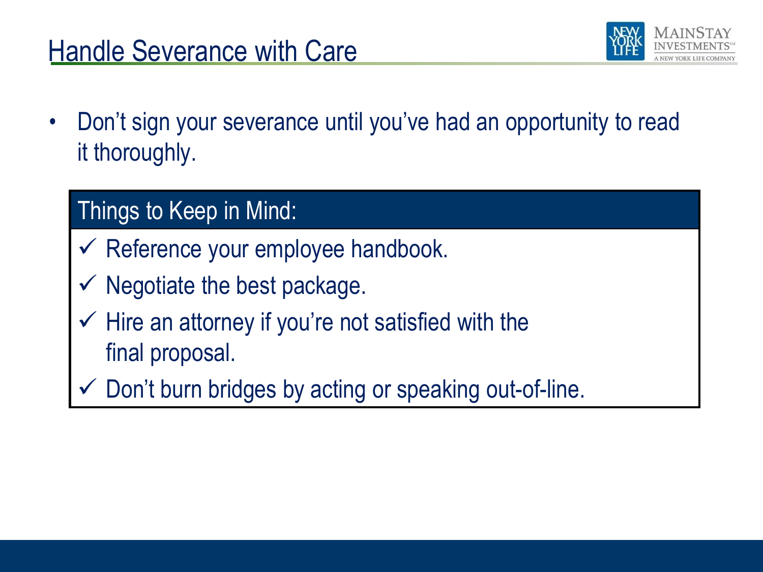## Handle Severance with Care



• Don't sign your severance until you've had an opportunity to read it thoroughly.

#### Things to Keep in Mind:

- Reference your employee handbook.
- Negotiate the best package.
- $\checkmark$  Hire an attorney if you're not satisfied with the final proposal.
- Don't burn bridges by acting or speaking out-of-line.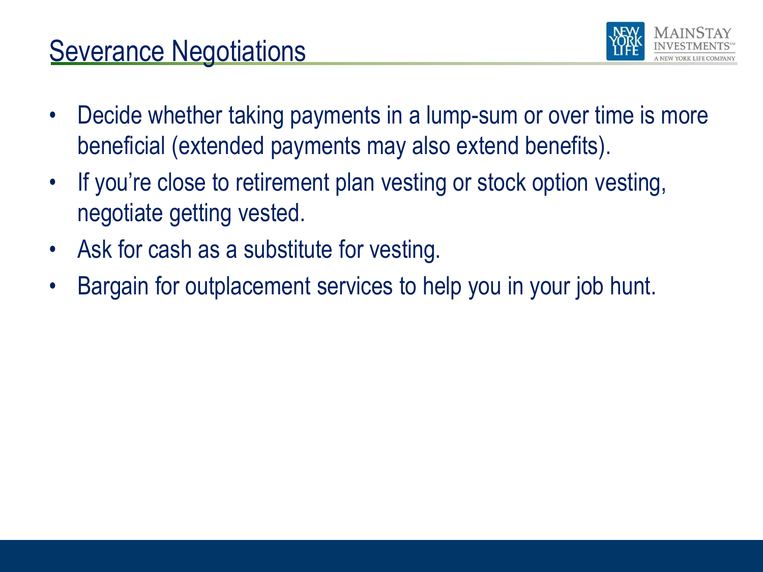## **Severance Negotiations**



- Decide whether taking payments in a lump-sum or over time is more beneficial (extended payments may also extend benefits).
- If you're close to retirement plan vesting or stock option vesting, negotiate getting vested.
- Ask for cash as a substitute for vesting.
- Bargain for outplacement services to help you in your job hunt.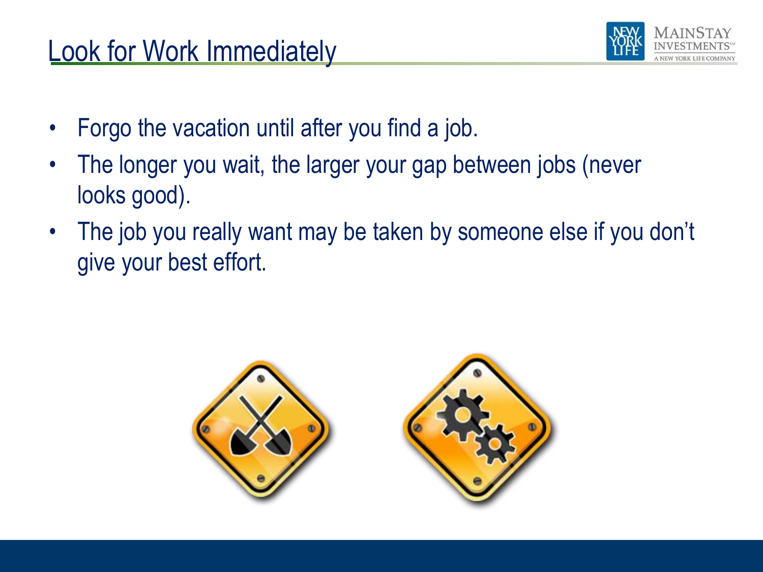#### Look for Work Immediately



- Forgo the vacation until after you find a job.
- The longer you wait, the larger your gap between jobs (never looks good).
- The job you really want may be taken by someone else if you don't give your best effort.

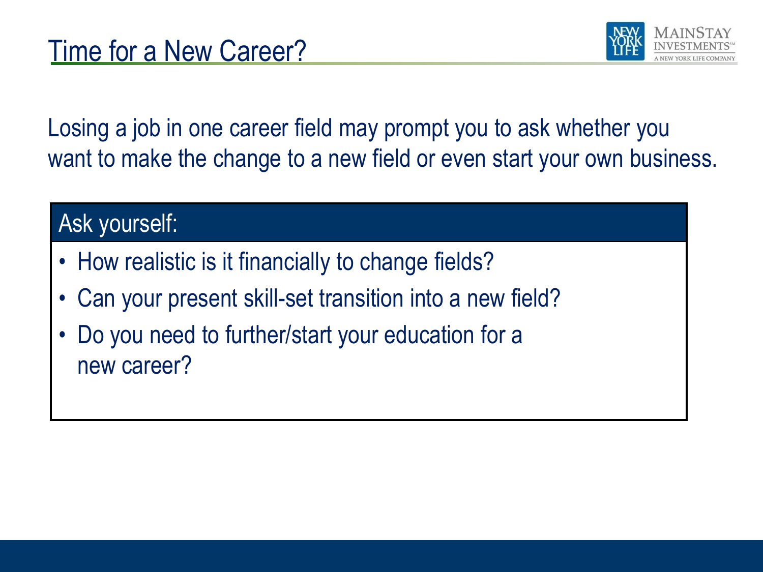

Losing a job in one career field may prompt you to ask whether you want to make the change to a new field or even start your own business.

#### Ask yourself:

- How realistic is it financially to change fields?
- Can your present skill-set transition into a new field?
- Do you need to further/start your education for a new career?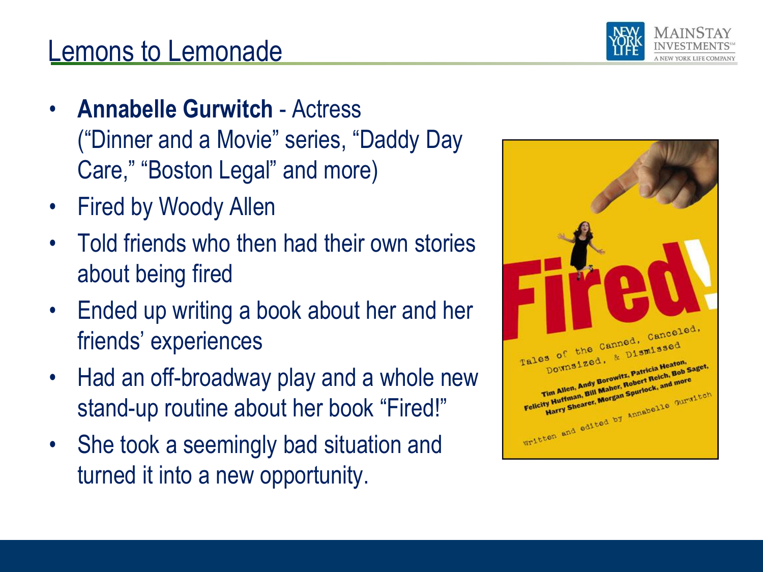

## Lemons to Lemonade

- **Annabelle Gurwitch** Actress ("Dinner and a Movie" series, "Daddy Day Care," "Boston Legal" and more)
- Fired by Woody Allen
- Told friends who then had their own stories about being fired
- Ended up writing a book about her and her friends' experiences
- Had an off-broadway play and a whole new stand-up routine about her book "Fired!"
- She took a seemingly bad situation and turned it into a new opportunity.

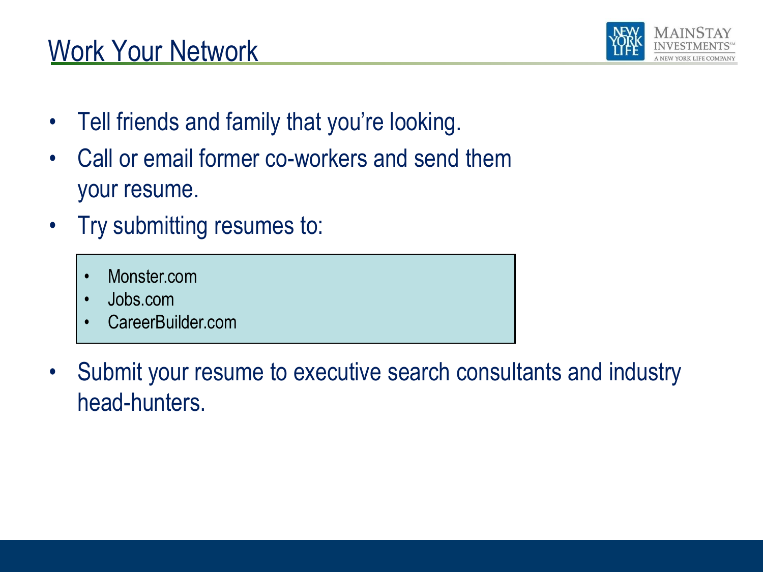## Work Your Network



- Tell friends and family that you're looking.
- Call or email former co-workers and send them your resume.
- Try submitting resumes to:
	- Monster.com
	- Jobs.com
	- CareerBuilder.com
- Submit your resume to executive search consultants and industry head-hunters.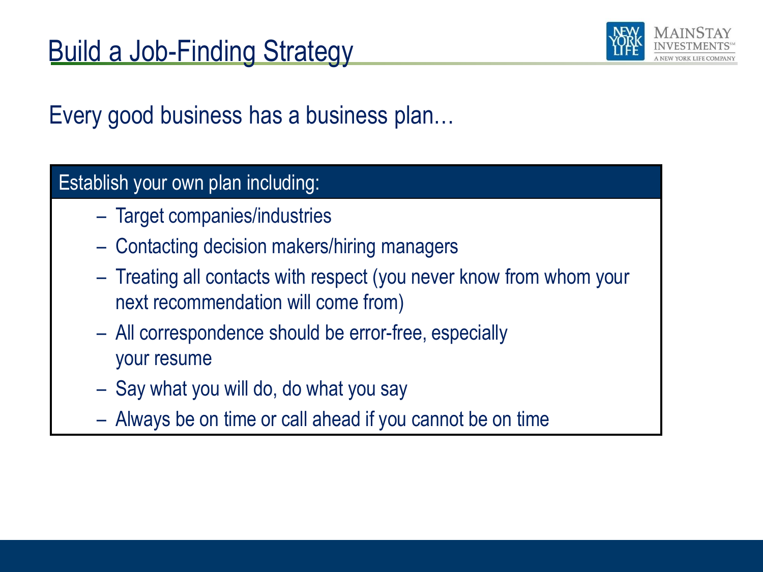

Every good business has a business plan…

#### Establish your own plan including:

- Target companies/industries
- Contacting decision makers/hiring managers
- Treating all contacts with respect (you never know from whom your next recommendation will come from)
- All correspondence should be error-free, especially your resume
- Say what you will do, do what you say
- Always be on time or call ahead if you cannot be on time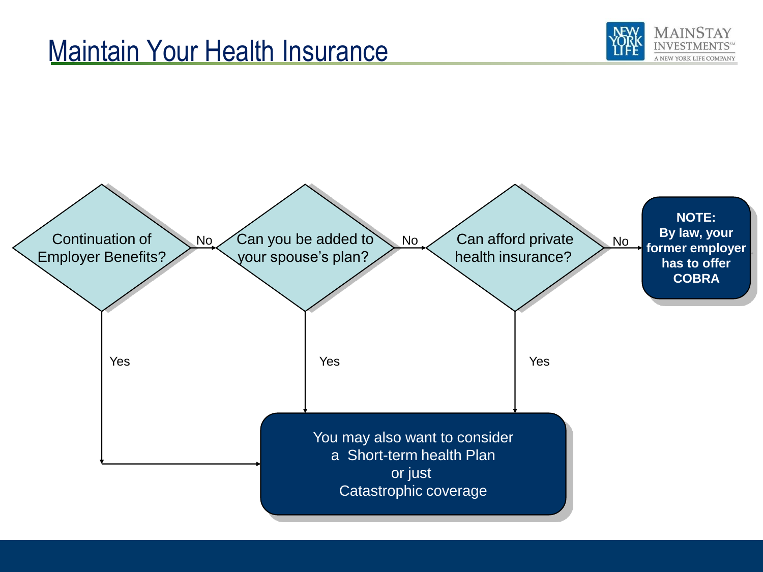#### Maintain Your Health Insurance



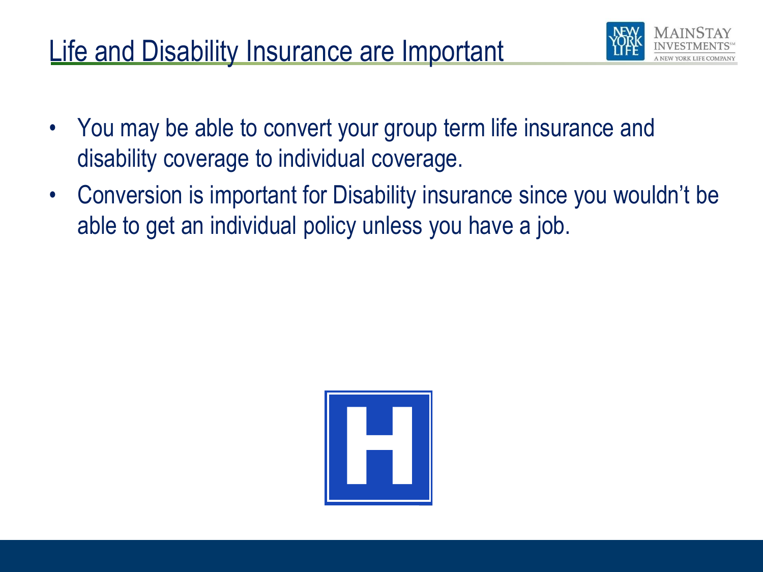# Life and Disability Insurance are Important



- You may be able to convert your group term life insurance and disability coverage to individual coverage.
- Conversion is important for Disability insurance since you wouldn't be able to get an individual policy unless you have a job.

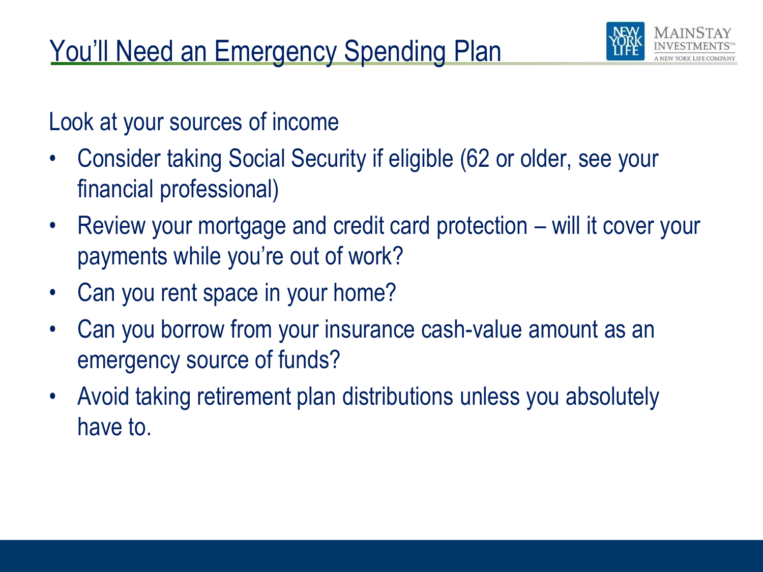

Look at your sources of income

- Consider taking Social Security if eligible (62 or older, see your financial professional)
- Review your mortgage and credit card protection will it cover your payments while you're out of work?
- Can you rent space in your home?
- Can you borrow from your insurance cash-value amount as an emergency source of funds?
- Avoid taking retirement plan distributions unless you absolutely have to.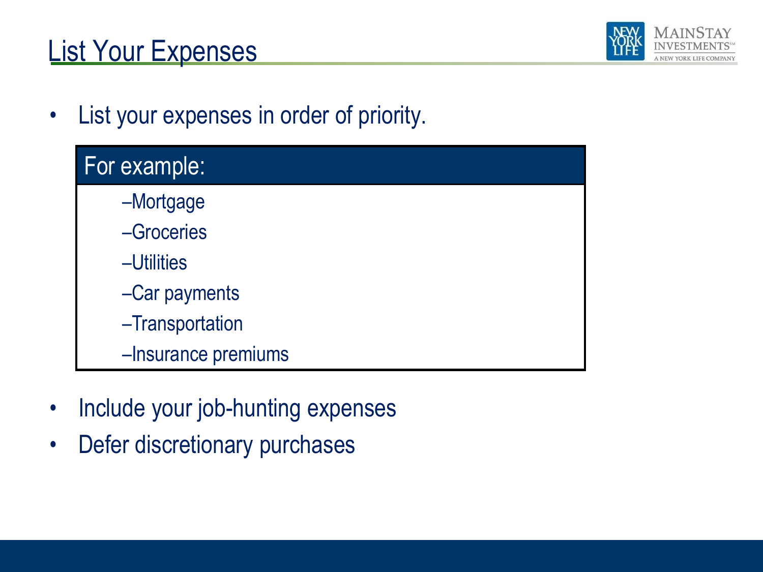# List Your Expenses



• List your expenses in order of priority.

| <b>For example:</b> |  |
|---------------------|--|
| -Mortgage           |  |
| -Groceries          |  |
| -Utilities          |  |
| -Car payments       |  |
| -Transportation     |  |
| -Insurance premiums |  |

- Include your job-hunting expenses
- Defer discretionary purchases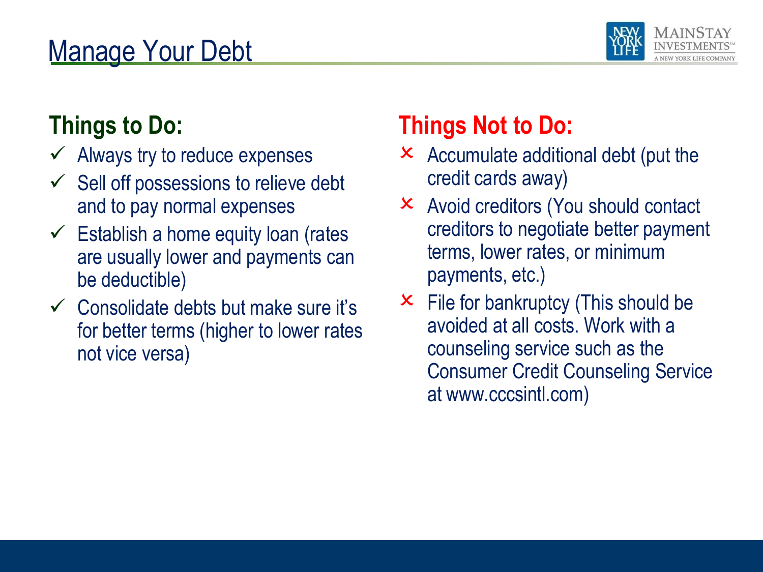# Manage Your Debt



#### **Things to Do:**

- $\checkmark$  Always try to reduce expenses
- $\checkmark$  Sell off possessions to relieve debt and to pay normal expenses
- $\checkmark$  Establish a home equity loan (rates are usually lower and payments can be deductible)
- $\checkmark$  Consolidate debts but make sure it's for better terms (higher to lower rates not vice versa)

## **Things Not to Do:**

- $\times$  Accumulate additional debt (put the credit cards away)
- Avoid creditors (You should contact creditors to negotiate better payment terms, lower rates, or minimum payments, etc.)
- $\times$  File for bankruptcy (This should be avoided at all costs. Work with a counseling service such as the Consumer Credit Counseling Service at www.cccsintl.com)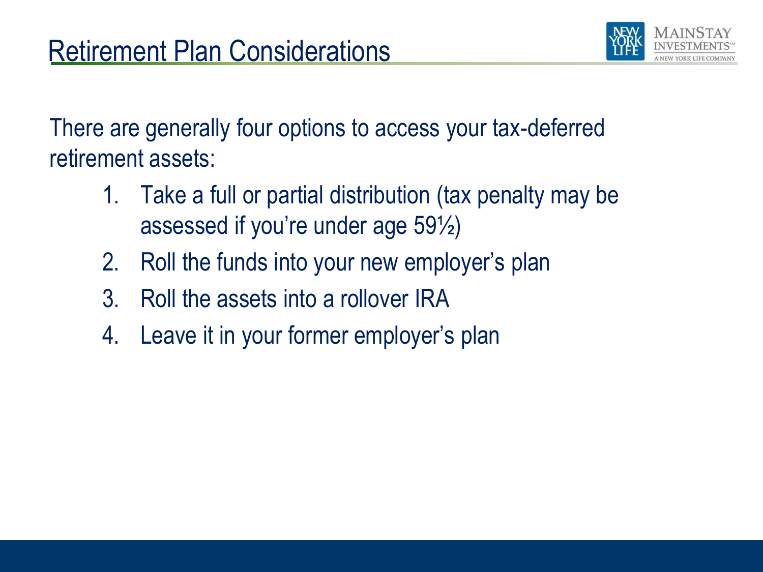

There are generally four options to access your tax-deferred retirement assets:

- 1. Take a full or partial distribution (tax penalty may be assessed if you're under age 59½)
- 2. Roll the funds into your new employer's plan
- 3. Roll the assets into a rollover IRA
- 4. Leave it in your former employer's plan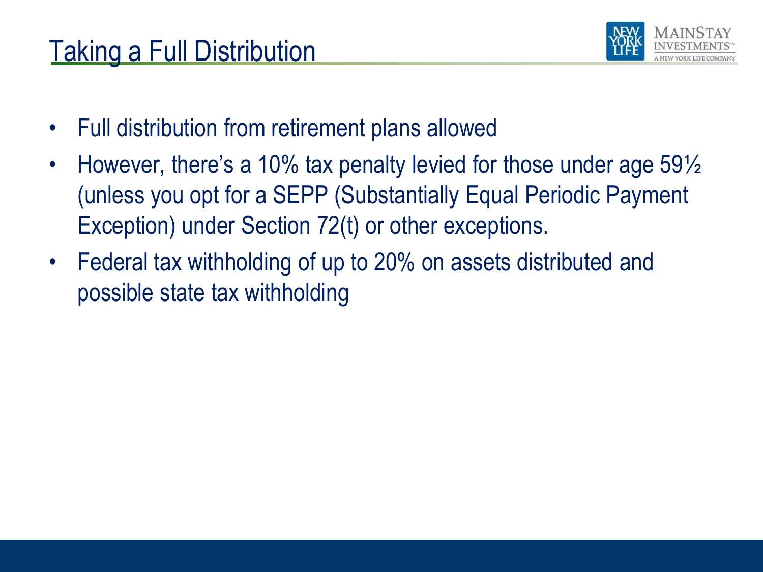# Taking a Full Distribution



- Full distribution from retirement plans allowed
- However, there's a 10% tax penalty levied for those under age 59½ (unless you opt for a SEPP (Substantially Equal Periodic Payment Exception) under Section 72(t) or other exceptions.
- Federal tax withholding of up to 20% on assets distributed and possible state tax withholding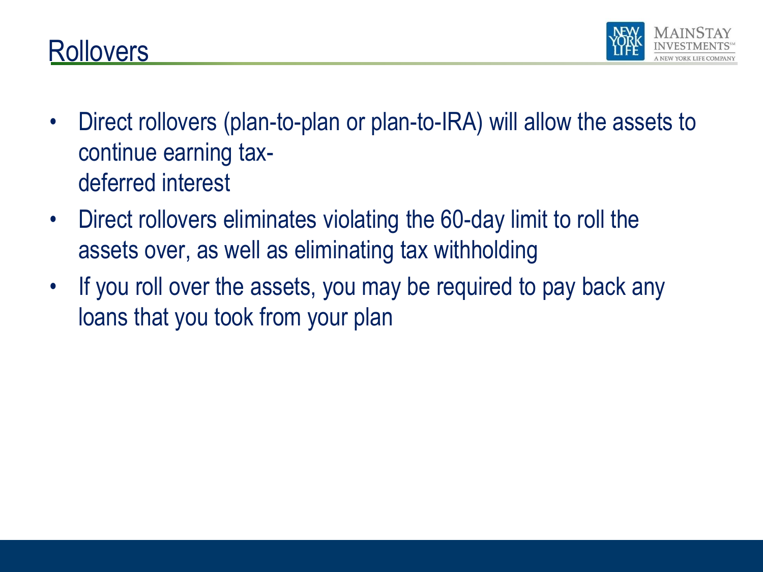



- Direct rollovers (plan-to-plan or plan-to-IRA) will allow the assets to continue earning taxdeferred interest
- Direct rollovers eliminates violating the 60-day limit to roll the assets over, as well as eliminating tax withholding
- If you roll over the assets, you may be required to pay back any loans that you took from your plan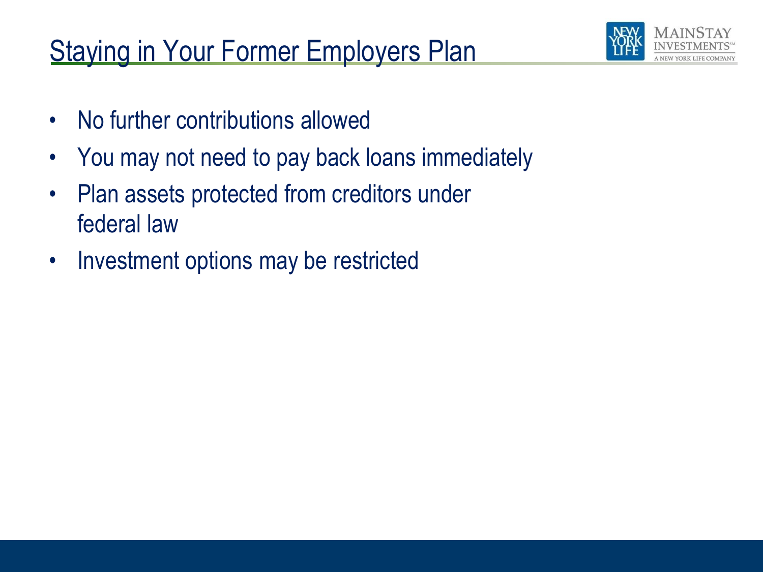# **Staying in Your Former Employers Plan**



- No further contributions allowed
- You may not need to pay back loans immediately
- Plan assets protected from creditors under federal law
- Investment options may be restricted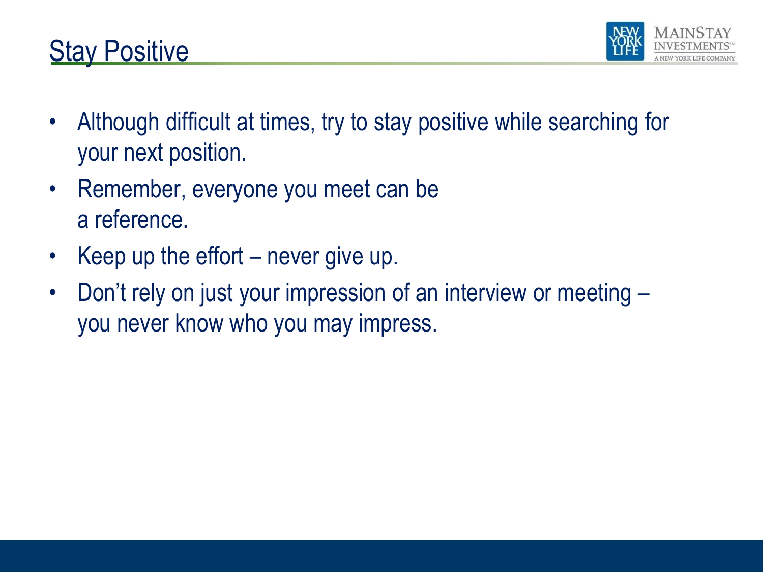



- Although difficult at times, try to stay positive while searching for your next position.
- Remember, everyone you meet can be a reference.
- Keep up the effort  $-$  never give up.
- Don't rely on just your impression of an interview or meeting you never know who you may impress.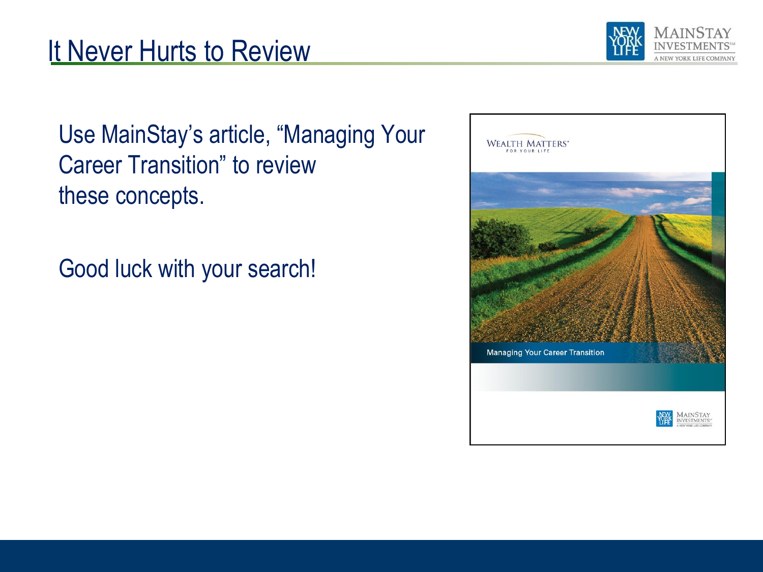#### It Never Hurts to Review



Use MainStay's article, "Managing Your Career Transition" to review these concepts.

Good luck with your search!